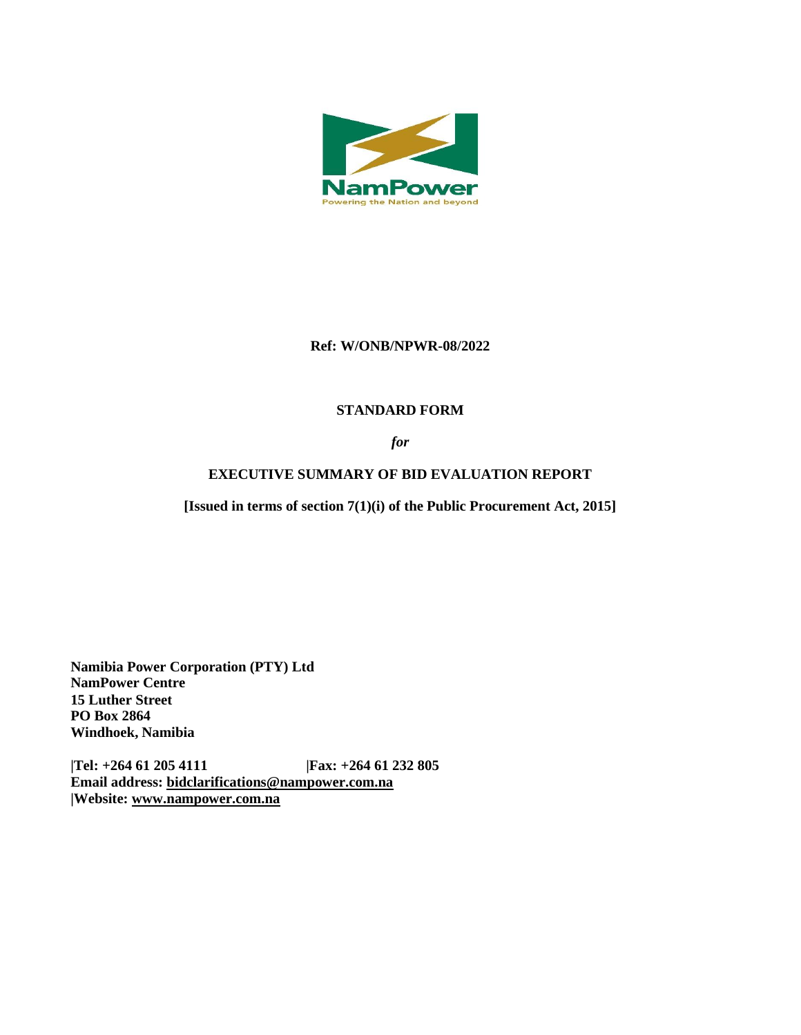

## **Ref: W/ONB/NPWR-08/2022**

# **STANDARD FORM**

*for*

# **EXECUTIVE SUMMARY OF BID EVALUATION REPORT**

**[Issued in terms of section 7(1)(i) of the Public Procurement Act, 2015]** 

**Namibia Power Corporation (PTY) Ltd NamPower Centre 15 Luther Street PO Box 2864 Windhoek, Namibia**

**|Tel: +264 61 205 4111 |Fax: +264 61 232 805 Email address: [bidclarifications@nampower.com.na](mailto:bidclarifications@nampower.com.na) |Website: [www.n](http://www./)ampower.com.na**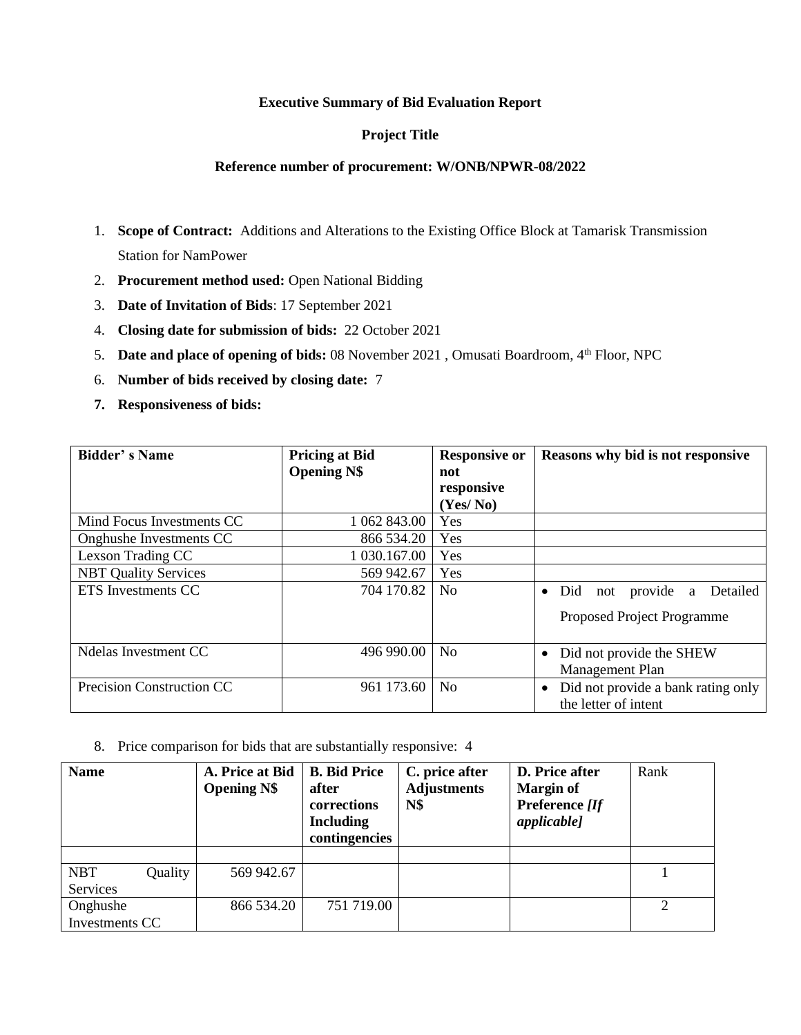#### **Executive Summary of Bid Evaluation Report**

### **Project Title**

#### **Reference number of procurement: W/ONB/NPWR-08/2022**

- 1. **Scope of Contract:** Additions and Alterations to the Existing Office Block at Tamarisk Transmission Station for NamPower
- 2. **Procurement method used:** Open National Bidding
- 3. **Date of Invitation of Bids**: 17 September 2021
- 4. **Closing date for submission of bids:** 22 October 2021
- 5. **Date and place of opening of bids:** 08 November 2021 , Omusati Boardroom, 4th Floor, NPC
- 6. **Number of bids received by closing date:** 7
- **7. Responsiveness of bids:**

| <b>Bidder's Name</b>        | <b>Pricing at Bid</b><br><b>Opening N\$</b> | <b>Responsive or</b><br>not<br>responsive<br>(Yes/No) | Reasons why bid is not responsive                                              |  |  |
|-----------------------------|---------------------------------------------|-------------------------------------------------------|--------------------------------------------------------------------------------|--|--|
| Mind Focus Investments CC   | 1 062 843.00                                | Yes                                                   |                                                                                |  |  |
| Onghushe Investments CC     | 866 534.20                                  | Yes                                                   |                                                                                |  |  |
| Lexson Trading CC           | 1 030.167.00                                | Yes                                                   |                                                                                |  |  |
| <b>NBT Quality Services</b> | 569 942.67                                  | Yes                                                   |                                                                                |  |  |
| <b>ETS</b> Investments CC   | 704 170.82                                  | N <sub>0</sub>                                        | provide a<br>Detailed<br>Did<br>not<br>$\bullet$<br>Proposed Project Programme |  |  |
| Ndelas Investment CC        | 496 990.00                                  | N <sub>0</sub>                                        | Did not provide the SHEW<br>Management Plan                                    |  |  |
| Precision Construction CC   | 961 173.60                                  | N <sub>0</sub>                                        | Did not provide a bank rating only<br>the letter of intent                     |  |  |

8. Price comparison for bids that are substantially responsive: 4

| <b>Name</b>    |         | A. Price at Bid<br><b>Opening N\$</b> | <b>B.</b> Bid Price<br>after<br>corrections<br><b>Including</b><br>contingencies | C. price after<br><b>Adjustments</b><br><b>N\$</b> | D. Price after<br><b>Margin of</b><br>Preference [If<br><i>applicable]</i> | Rank |
|----------------|---------|---------------------------------------|----------------------------------------------------------------------------------|----------------------------------------------------|----------------------------------------------------------------------------|------|
|                |         |                                       |                                                                                  |                                                    |                                                                            |      |
| <b>NBT</b>     | Quality | 569 942.67                            |                                                                                  |                                                    |                                                                            |      |
| Services       |         |                                       |                                                                                  |                                                    |                                                                            |      |
| Onghushe       |         | 866 534.20                            | 751 719.00                                                                       |                                                    |                                                                            |      |
| Investments CC |         |                                       |                                                                                  |                                                    |                                                                            |      |